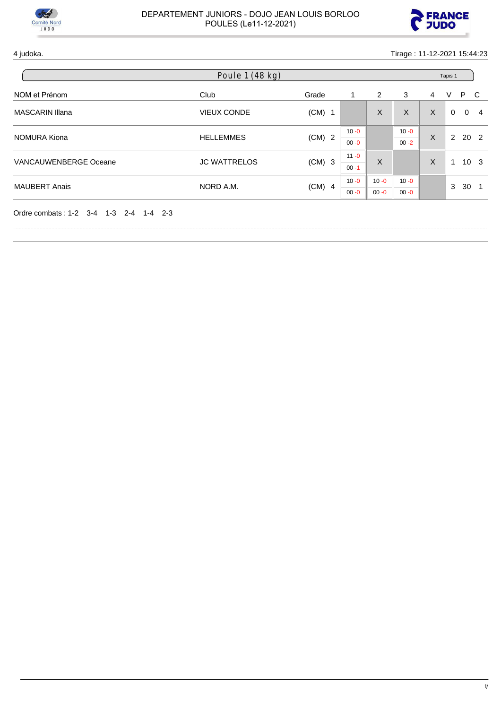



4 judoka. Tirage : 11-12-2021 15:44:23

|                        | Poule 1 (48 kg)     |          |                      |                      |                      | Tapis 1 |                      |                                |
|------------------------|---------------------|----------|----------------------|----------------------|----------------------|---------|----------------------|--------------------------------|
| NOM et Prénom          | Club                | Grade    | 1                    | 2                    | 3                    | 4       | V                    | P C                            |
| <b>MASCARIN Illana</b> | <b>VIEUX CONDE</b>  | $(CM)$ 1 |                      | X                    | X                    | X       | 0                    | $\mathbf{0}$<br>$\overline{4}$ |
| NOMURA Kiona           | <b>HELLEMMES</b>    | $(CM)$ 2 | $10 - 0$<br>$00 - 0$ |                      | $10 - 0$<br>$00 - 2$ | X       | $\mathbf{2}^{\circ}$ | 20 2                           |
| VANCAUWENBERGE Oceane  | <b>JC WATTRELOS</b> | $(CM)$ 3 | $11 - 0$<br>$00 - 1$ | X                    |                      | X       | 4                    | 10 <sub>3</sub>                |
| <b>MAUBERT Anais</b>   | NORD A.M.           | $(CM)$ 4 | $10 - 0$<br>$00 - 0$ | $10 - 0$<br>$00 - 0$ | $10 - 0$<br>$00 - 0$ |         | 3                    | 30                             |

Ordre combats : 1-2 3-4 1-3 2-4 1-4 2-3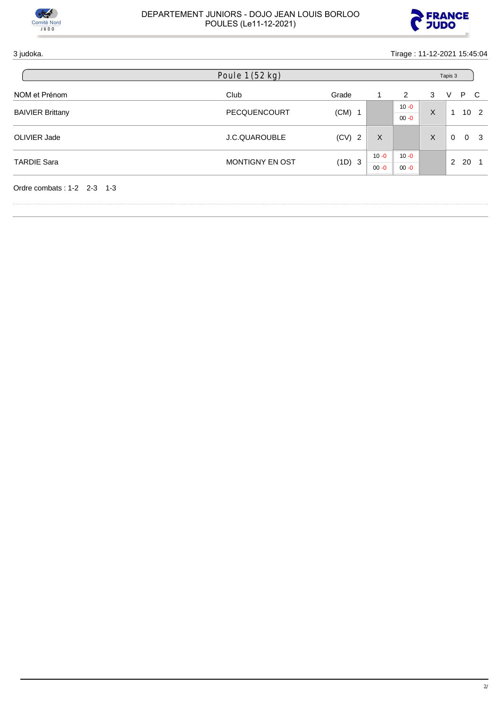



3 judoka. Tirage : 11-12-2021 15:45:04

|                            | Poule 1 (52 kg)        |          |          |          |   | Tapis 3  |          |                 |  |  |
|----------------------------|------------------------|----------|----------|----------|---|----------|----------|-----------------|--|--|
| NOM et Prénom              | Club                   | Grade    |          | 2        | 3 | V        |          | P C             |  |  |
| <b>BAIVIER Brittany</b>    | PECQUENCOURT           |          |          | $10 - 0$ | X | 1        |          | 10 <sub>2</sub> |  |  |
|                            |                        | $(CM)$ 1 |          | $00 - 0$ |   |          |          |                 |  |  |
| OLIVIER Jade               | J.C.QUAROUBLE          | $(CV)$ 2 | X        |          | X | $\Omega$ | $\Omega$ | - 3             |  |  |
|                            |                        |          | $10 - 0$ | $10 - 0$ |   |          |          |                 |  |  |
| <b>TARDIE Sara</b>         | <b>MONTIGNY EN OST</b> | (1D) 3   | $00 - 0$ | $00 - 0$ |   | 2        | - 20     |                 |  |  |
| Ordre combats: 1-2 2-3 1-3 |                        |          |          |          |   |          |          |                 |  |  |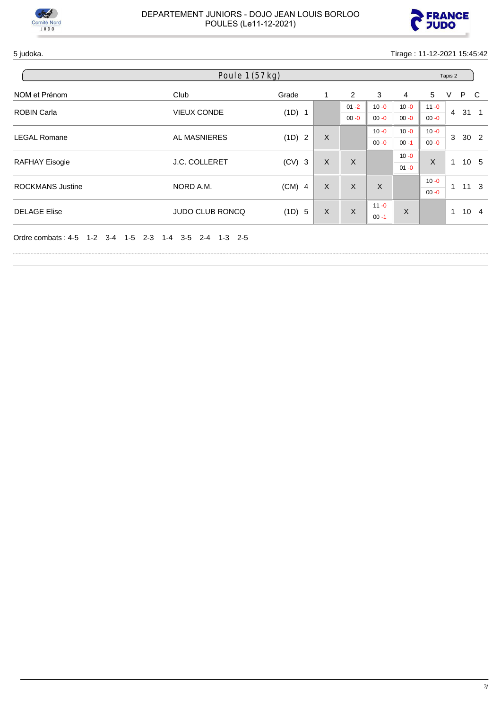



5 judoka. Tirage : 11-12-2021 15:45:42

| Poule 1 (57 kg)                        |                                                            |          |   |                |              |          |          | Tapis 2        |          |                 |  |  |
|----------------------------------------|------------------------------------------------------------|----------|---|----------------|--------------|----------|----------|----------------|----------|-----------------|--|--|
| NOM et Prénom                          | Club                                                       | Grade    |   | $\overline{2}$ | 3            | 4        | 5        | V              | P C      |                 |  |  |
| <b>ROBIN Carla</b>                     | <b>VIEUX CONDE</b>                                         | (1D) 1   |   | $01 - 2$       | $10 - 0$     | $10 - 0$ | $11 - 0$ | $\overline{4}$ |          | $31 \quad 1$    |  |  |
|                                        |                                                            |          |   |                |              | $00 - 0$ | $00 - 0$ | $00 - 0$       | $00 - 0$ |                 |  |  |
| <b>LEGAL Romane</b>                    | AL MASNIERES                                               | (1D) 2   | X |                | $10 - 0$     | $10 - 0$ | $10 - 0$ | 3              |          | 30 <sub>2</sub> |  |  |
|                                        |                                                            |          |   |                | $00 - 0$     | $00 - 1$ | $00 - 0$ |                |          |                 |  |  |
|                                        | <b>J.C. COLLERET</b>                                       | $(CV)$ 3 | X | X              |              | $10 - 0$ | $\sf X$  | $\mathbf 1$    |          | 10 <sub>5</sub> |  |  |
| <b>RAFHAY Eisogie</b>                  |                                                            |          |   |                |              | $01 - 0$ |          |                |          |                 |  |  |
| <b>ROCKMANS Justine</b>                | NORD A.M.                                                  | $(CM)$ 4 | X | X              | $\mathsf{X}$ |          | $10 - 0$ | 1              |          | $11 \quad 3$    |  |  |
|                                        |                                                            |          |   |                |              |          | $00 - 0$ |                |          |                 |  |  |
| <b>DELAGE Elise</b>                    |                                                            |          | X |                | $11 - 0$     | X        |          | $\mathbf{1}$   |          |                 |  |  |
|                                        | <b>JUDO CLUB RONCQ</b>                                     | (1D) 5   |   | $\sf X$        | $00 - 1$     |          |          |                |          | 10 <sub>4</sub> |  |  |
| Ordre combats: 4-5<br>$1 - 2$<br>$3-4$ | 1-5<br>$2 - 3$<br>$3 - 5$<br>$2 - 4$<br>$1 - 3$ 2-5<br>1-4 |          |   |                |              |          |          |                |          |                 |  |  |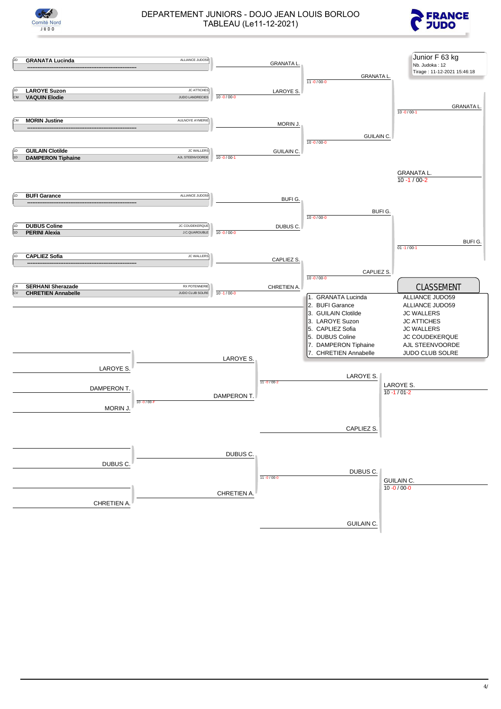



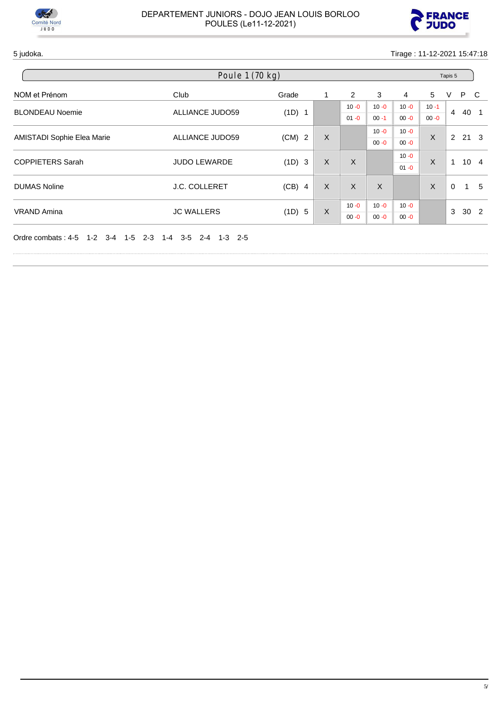



5 judoka. Tirage : 11-12-2021 15:47:18

| Poule 1 (70 kg)         |                                                      |                                  |               |              |          |                |          | Tapis 5         |                 |     |
|-------------------------|------------------------------------------------------|----------------------------------|---------------|--------------|----------|----------------|----------|-----------------|-----------------|-----|
| NOM et Prénom           | Club                                                 | Grade                            |               | 2            | 3        | $\overline{4}$ | 5        | V               | P C             |     |
| <b>BLONDEAU Noemie</b>  | <b>ALLIANCE JUDO59</b>                               | (1D) 1                           |               | $10 - 0$     | $10 - 0$ | $10 - 0$       | $10 - 1$ | $\overline{4}$  | 40 1            |     |
|                         |                                                      |                                  |               | $01 - 0$     | $00 - 1$ | $00 - 0$       | $00 - 0$ |                 |                 |     |
|                         | AMISTADI Sophie Elea Marie<br><b>ALLIANCE JUDO59</b> |                                  | $(CM)$ 2<br>X |              | $10 - 0$ | $10 - 0$       | $\sf X$  |                 | 2, 21, 3        |     |
|                         |                                                      |                                  |               |              | $00 - 0$ | $00 - 0$       |          |                 |                 |     |
| <b>COPPIETERS Sarah</b> | <b>JUDO LEWARDE</b>                                  | (1D) 3                           | X             | X            |          | $10 - 0$       | X        | 1               | 10 <sub>4</sub> |     |
|                         |                                                      |                                  |               |              |          | $01 - 0$       |          |                 |                 |     |
| <b>DUMAS Noline</b>     | <b>J.C. COLLERET</b>                                 | $(CB)$ 4                         | X             | $\mathsf{X}$ | X        |                | $\sf X$  | $\Omega$        | $\mathbf{1}$    | - 5 |
|                         |                                                      |                                  |               |              |          |                |          |                 |                 |     |
| <b>VRAND Amina</b>      |                                                      | X<br><b>JC WALLERS</b><br>(1D) 5 | $10 - 0$      | $10 - 0$     | $10 - 0$ |                | 3        | 30 <sub>2</sub> |                 |     |
|                         |                                                      |                                  |               | $00 - 0$     | $00 - 0$ | $00 - 0$       |          |                 |                 |     |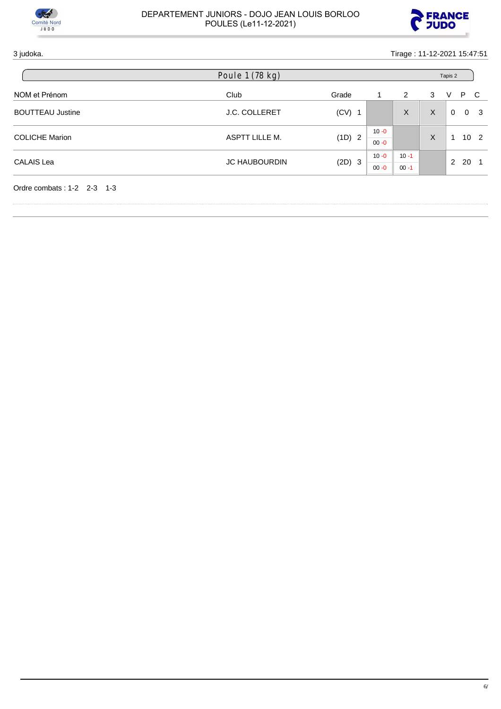



### 3 judoka. Tirage : 11-12-2021 15:47:51

|                         | Poule 1 (78 kg)      |          |                      |          |   | Tapis 2  |     |                 |  |  |
|-------------------------|----------------------|----------|----------------------|----------|---|----------|-----|-----------------|--|--|
| NOM et Prénom           | Club                 | Grade    |                      | 2        | 3 | V        | P C |                 |  |  |
| <b>BOUTTEAU Justine</b> | <b>J.C. COLLERET</b> | $(CV)$ 1 |                      | X        | X | $\Omega$ |     | 0 <sup>3</sup>  |  |  |
| <b>COLICHE Marion</b>   | ASPTT LILLE M.       | (1D) 2   | $10 - 0$<br>$00 - 0$ |          | X |          |     | 10 <sub>2</sub> |  |  |
| <b>CALAIS Lea</b>       | <b>JC HAUBOURDIN</b> | $(2D)$ 3 | $10 - 0$             | $10 - 1$ |   | 2        | -20 |                 |  |  |
|                         |                      |          | $00 - 0$             | $00 - 1$ |   |          |     |                 |  |  |

Ordre combats : 1-2 2-3 1-3